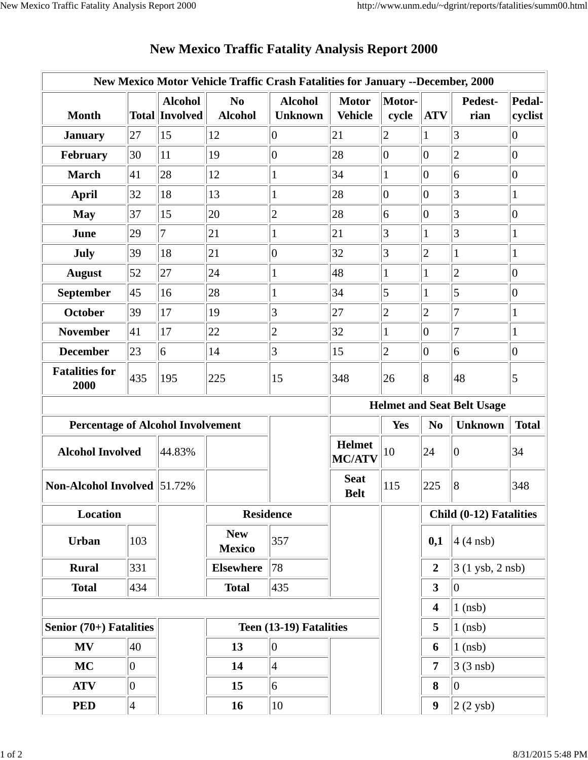| New Mexico Motor Vehicle Traffic Crash Fatalities for January --December, 2000 |                |                                         |                                  |                                  |                                |                                   |                         |                         |                   |  |
|--------------------------------------------------------------------------------|----------------|-----------------------------------------|----------------------------------|----------------------------------|--------------------------------|-----------------------------------|-------------------------|-------------------------|-------------------|--|
| <b>Month</b>                                                                   |                | <b>Alcohol</b><br><b>Total Involved</b> | N <sub>0</sub><br><b>Alcohol</b> | <b>Alcohol</b><br><b>Unknown</b> | <b>Motor</b><br><b>Vehicle</b> | Motor-<br>cycle                   | <b>ATV</b>              | Pedest-<br>rian         | Pedal-<br>cyclist |  |
| <b>January</b>                                                                 | 27             | 15                                      | 12                               | $ 0\rangle$                      | 21                             | $ 2\rangle$                       | $\mathbf{1}$            | 3                       | $\overline{0}$    |  |
| February                                                                       | 30             | 11                                      | 19                               | $ 0\rangle$                      | 28                             | $ 0\rangle$                       | $ 0\rangle$             | $\overline{c}$          | $\overline{0}$    |  |
| <b>March</b>                                                                   | 41             | 28                                      | 12                               | $\mathbf{1}$                     | 34                             | $\mathbf 1$                       | $\overline{0}$          | 6                       | $\overline{0}$    |  |
| <b>April</b>                                                                   | 32             | 18                                      | 13                               | 1                                | 28                             | $ 0\rangle$                       | $ 0\rangle$             | $\overline{3}$          | $\mathbf{1}$      |  |
| <b>May</b>                                                                     | 37             | 15                                      | 20                               | $\overline{c}$                   | 28                             | 6                                 | $ 0\rangle$             | $\overline{3}$          | $\overline{0}$    |  |
| June                                                                           | 29             | 7                                       | 21                               | $\mathbf{1}$                     | 21                             | $\vert 3 \vert$                   | $\mathbf{1}$            | 3                       | $\mathbf{1}$      |  |
| July                                                                           | 39             | 18                                      | 21                               | $\vert 0 \vert$                  | 32                             | 3                                 | $\overline{c}$          | 1                       | $\mathbf{1}$      |  |
| <b>August</b>                                                                  | 52             | 27                                      | 24                               | $\mathbf{1}$                     | 48                             | $\mathbf{1}$                      | 1                       | $\overline{c}$          | $\overline{0}$    |  |
| September                                                                      | 45             | 16                                      | 28                               | $\mathbf{1}$                     | 34                             | $\vert$ 5                         | 1                       | 5                       | $\overline{0}$    |  |
| <b>October</b>                                                                 | 39             | 17                                      | 19                               | 3                                | 27                             | $\overline{c}$                    | $\overline{2}$          | $\overline{7}$          | $\mathbf{1}$      |  |
| <b>November</b>                                                                | 41             | 17                                      | 22                               | $\overline{c}$                   | 32                             | $\mathbf{1}$                      | $\vert 0 \vert$         | $\overline{7}$          | $\mathbf{1}$      |  |
| <b>December</b>                                                                | 23             | $\overline{6}$                          | 14                               | 3                                | 15                             | $ 2\rangle$                       | $\overline{0}$          | 6                       | $\overline{0}$    |  |
| <b>Fatalities for</b><br>2000                                                  | 435            | 195                                     | 225                              | 15                               | 348                            | 26                                | $\overline{8}$          | 48                      | $\overline{5}$    |  |
|                                                                                |                |                                         |                                  |                                  |                                | <b>Helmet and Seat Belt Usage</b> |                         |                         |                   |  |
| <b>Percentage of Alcohol Involvement</b>                                       |                |                                         |                                  |                                  |                                |                                   |                         |                         |                   |  |
|                                                                                |                |                                         |                                  |                                  |                                | Yes                               | N <sub>0</sub>          | <b>Unknown</b>          | <b>Total</b>      |  |
| <b>Alcohol Involved</b>                                                        |                | 44.83%                                  |                                  |                                  | <b>Helmet</b><br><b>MC/ATV</b> | 10                                | 24                      | $ 0\rangle$             | 34                |  |
| <b>Non-Alcohol Involved 51.72%</b>                                             |                |                                         |                                  |                                  | <b>Seat</b><br><b>Belt</b>     | 115                               | 225                     | 8                       | 348               |  |
| Location                                                                       |                |                                         | <b>Residence</b>                 |                                  |                                |                                   |                         | Child (0-12) Fatalities |                   |  |
| <b>Urban</b>                                                                   | 103            |                                         | <b>New</b><br><b>Mexico</b>      | 357                              |                                |                                   | 0,1                     | $4(4$ nsb)              |                   |  |
| <b>Rural</b>                                                                   | 331            |                                         | <b>Elsewhere</b>                 | 78                               |                                |                                   | $\boldsymbol{2}$        | $3(1$ ysb, 2 nsb)       |                   |  |
| <b>Total</b>                                                                   | 434            |                                         | <b>Total</b>                     | 435                              |                                |                                   | $\overline{\mathbf{3}}$ | $ 0\rangle$             |                   |  |
|                                                                                |                |                                         |                                  |                                  |                                |                                   | $\overline{\mathbf{4}}$ | $1$ (nsb)               |                   |  |
| Senior (70+) Fatalities                                                        |                |                                         |                                  | Teen (13-19) Fatalities          |                                |                                   | 5                       | $1$ (nsb)               |                   |  |
| MV                                                                             | 40             |                                         | 13                               | $ 0\rangle$                      |                                |                                   | 6                       | $1$ (nsb)               |                   |  |
| <b>MC</b>                                                                      | $\overline{0}$ |                                         | 14                               | $\vert 4 \vert$                  |                                |                                   | $\overline{7}$          | $3(3$ nsb)              |                   |  |
| <b>ATV</b>                                                                     | $\overline{0}$ |                                         | 15                               | 6                                |                                |                                   | 8                       | $ 0\rangle$             |                   |  |

## **New Mexico Traffic Fatality Analysis Report 2000**